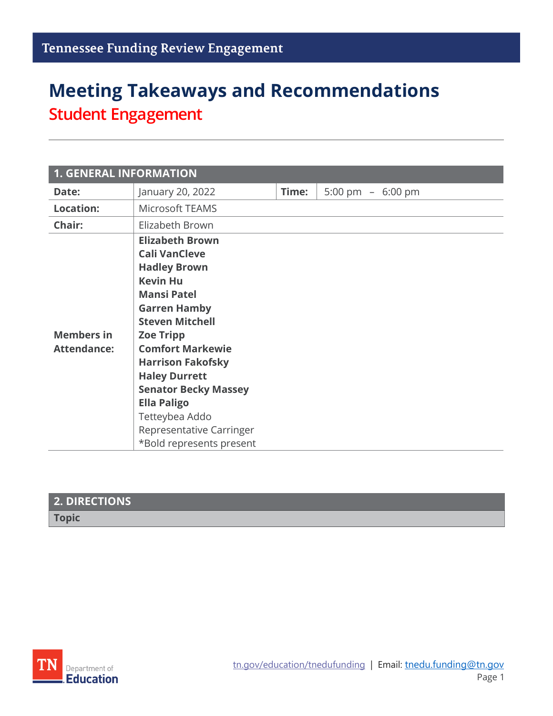# **Meeting Takeaways and Recommendations Student Engagement**

| <b>1. GENERAL INFORMATION</b>           |                                                                                                                                                                                                                                                                                                                                                                                                   |       |                    |
|-----------------------------------------|---------------------------------------------------------------------------------------------------------------------------------------------------------------------------------------------------------------------------------------------------------------------------------------------------------------------------------------------------------------------------------------------------|-------|--------------------|
| Date:                                   | January 20, 2022                                                                                                                                                                                                                                                                                                                                                                                  | Time: | 5:00 pm $-6:00$ pm |
| <b>Location:</b>                        | Microsoft TEAMS                                                                                                                                                                                                                                                                                                                                                                                   |       |                    |
| Chair:                                  | Elizabeth Brown                                                                                                                                                                                                                                                                                                                                                                                   |       |                    |
| <b>Members in</b><br><b>Attendance:</b> | <b>Elizabeth Brown</b><br><b>Cali VanCleve</b><br><b>Hadley Brown</b><br><b>Kevin Hu</b><br><b>Mansi Patel</b><br><b>Garren Hamby</b><br><b>Steven Mitchell</b><br><b>Zoe Tripp</b><br><b>Comfort Markewie</b><br><b>Harrison Fakofsky</b><br><b>Haley Durrett</b><br><b>Senator Becky Massey</b><br><b>Ella Paligo</b><br>Tetteybea Addo<br>Representative Carringer<br>*Bold represents present |       |                    |

### **2. DIRECTIONS**

**Topic**

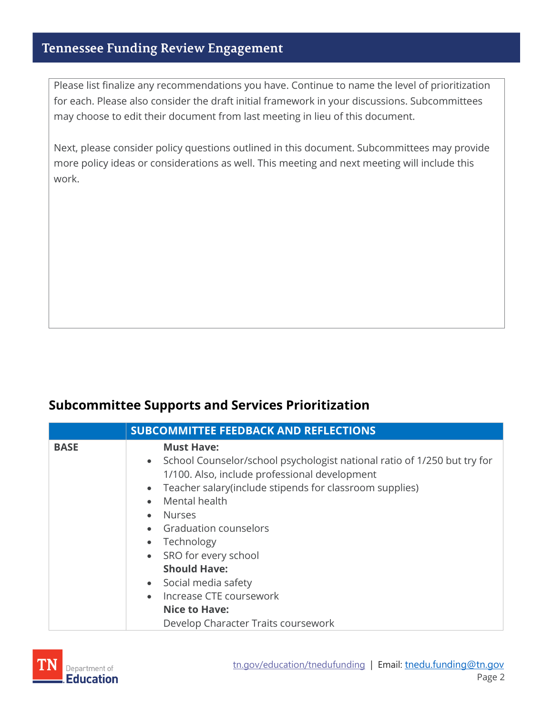Please list finalize any recommendations you have. Continue to name the level of prioritization for each. Please also consider the draft initial framework in your discussions. Subcommittees may choose to edit their document from last meeting in lieu of this document.

Next, please consider policy questions outlined in this document. Subcommittees may provide more policy ideas or considerations as well. This meeting and next meeting will include this work.

#### **Subcommittee Supports and Services Prioritization**

|             | <b>SUBCOMMITTEE FEEDBACK AND REFLECTIONS</b>                                                                                                                                                                                                                                                                                                                                                                                                                                                                                            |  |
|-------------|-----------------------------------------------------------------------------------------------------------------------------------------------------------------------------------------------------------------------------------------------------------------------------------------------------------------------------------------------------------------------------------------------------------------------------------------------------------------------------------------------------------------------------------------|--|
| <b>BASE</b> | <b>Must Have:</b><br>• School Counselor/school psychologist national ratio of 1/250 but try for<br>1/100. Also, include professional development<br>• Teacher salary (include stipends for classroom supplies)<br>Mental health<br>$\bullet$<br><b>Nurses</b><br>$\bullet$<br>• Graduation counselors<br>Technology<br>$\bullet$<br>SRO for every school<br>$\bullet$<br><b>Should Have:</b><br>Social media safety<br>$\bullet$<br>Increase CTE coursework<br>$\bullet$<br><b>Nice to Have:</b><br>Develop Character Traits coursework |  |

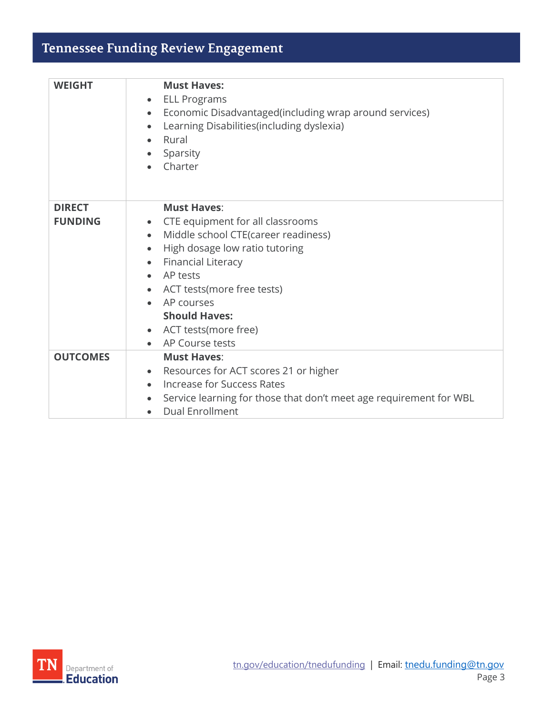| <b>WEIGHT</b>                   | <b>Must Haves:</b><br><b>ELL Programs</b><br>$\bullet$<br>Economic Disadvantaged (including wrap around services)<br>$\bullet$<br>Learning Disabilities(including dyslexia)<br>$\bullet$<br>Rural<br>$\bullet$<br>Sparsity<br>$\bullet$<br>Charter                                                                                                                                       |
|---------------------------------|------------------------------------------------------------------------------------------------------------------------------------------------------------------------------------------------------------------------------------------------------------------------------------------------------------------------------------------------------------------------------------------|
| <b>DIRECT</b><br><b>FUNDING</b> | <b>Must Haves:</b><br>• CTE equipment for all classrooms<br>Middle school CTE(career readiness)<br>$\bullet$<br>High dosage low ratio tutoring<br>$\bullet$<br><b>Financial Literacy</b><br>$\bullet$<br>AP tests<br>$\bullet$<br>ACT tests (more free tests)<br>$\bullet$<br>AP courses<br>$\bullet$<br><b>Should Haves:</b><br>• ACT tests (more free)<br>AP Course tests<br>$\bullet$ |
| <b>OUTCOMES</b>                 | <b>Must Haves:</b><br>• Resources for ACT scores 21 or higher<br>Increase for Success Rates<br>Service learning for those that don't meet age requirement for WBL<br>$\bullet$<br><b>Dual Enrollment</b><br>$\bullet$                                                                                                                                                                    |

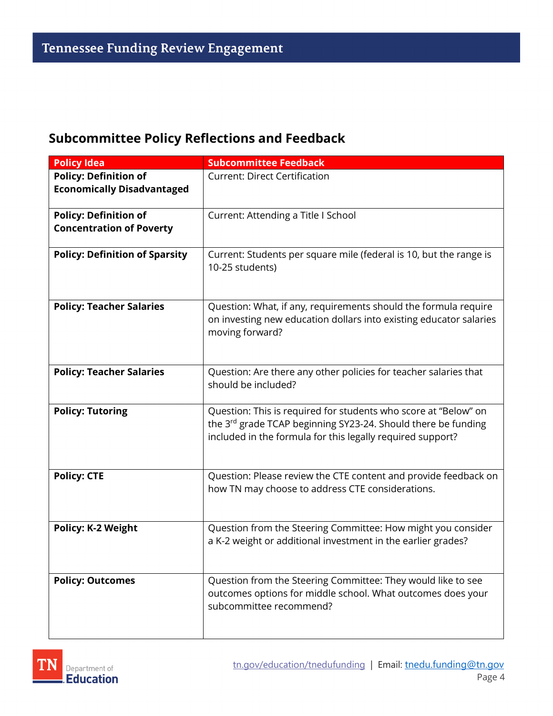#### **Subcommittee Policy Reflections and Feedback**

| <b>Policy Idea</b>                    | <b>Subcommittee Feedback</b>                                                                                                                                                                               |
|---------------------------------------|------------------------------------------------------------------------------------------------------------------------------------------------------------------------------------------------------------|
| <b>Policy: Definition of</b>          | <b>Current: Direct Certification</b>                                                                                                                                                                       |
| <b>Economically Disadvantaged</b>     |                                                                                                                                                                                                            |
| <b>Policy: Definition of</b>          | Current: Attending a Title I School                                                                                                                                                                        |
| <b>Concentration of Poverty</b>       |                                                                                                                                                                                                            |
| <b>Policy: Definition of Sparsity</b> | Current: Students per square mile (federal is 10, but the range is<br>10-25 students)                                                                                                                      |
| <b>Policy: Teacher Salaries</b>       | Question: What, if any, requirements should the formula require<br>on investing new education dollars into existing educator salaries<br>moving forward?                                                   |
| <b>Policy: Teacher Salaries</b>       | Question: Are there any other policies for teacher salaries that<br>should be included?                                                                                                                    |
| <b>Policy: Tutoring</b>               | Question: This is required for students who score at "Below" on<br>the 3 <sup>rd</sup> grade TCAP beginning SY23-24. Should there be funding<br>included in the formula for this legally required support? |
| <b>Policy: CTE</b>                    | Question: Please review the CTE content and provide feedback on<br>how TN may choose to address CTE considerations.                                                                                        |
| <b>Policy: K-2 Weight</b>             | Question from the Steering Committee: How might you consider<br>a K-2 weight or additional investment in the earlier grades?                                                                               |
| <b>Policy: Outcomes</b>               | Question from the Steering Committee: They would like to see<br>outcomes options for middle school. What outcomes does your<br>subcommittee recommend?                                                     |

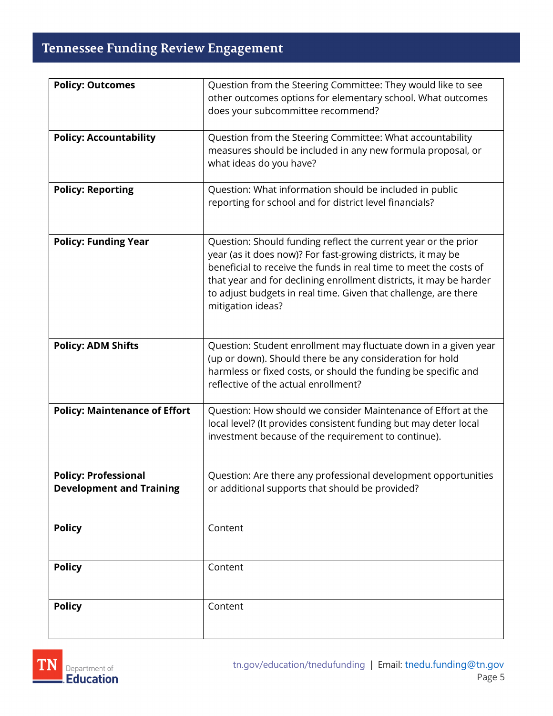| <b>Policy: Outcomes</b>              | Question from the Steering Committee: They would like to see       |
|--------------------------------------|--------------------------------------------------------------------|
|                                      | other outcomes options for elementary school. What outcomes        |
|                                      | does your subcommittee recommend?                                  |
|                                      |                                                                    |
| <b>Policy: Accountability</b>        | Question from the Steering Committee: What accountability          |
|                                      | measures should be included in any new formula proposal, or        |
|                                      | what ideas do you have?                                            |
|                                      |                                                                    |
| <b>Policy: Reporting</b>             | Question: What information should be included in public            |
|                                      | reporting for school and for district level financials?            |
|                                      |                                                                    |
|                                      |                                                                    |
| <b>Policy: Funding Year</b>          | Question: Should funding reflect the current year or the prior     |
|                                      | year (as it does now)? For fast-growing districts, it may be       |
|                                      | beneficial to receive the funds in real time to meet the costs of  |
|                                      | that year and for declining enrollment districts, it may be harder |
|                                      | to adjust budgets in real time. Given that challenge, are there    |
|                                      | mitigation ideas?                                                  |
|                                      |                                                                    |
|                                      |                                                                    |
| <b>Policy: ADM Shifts</b>            | Question: Student enrollment may fluctuate down in a given year    |
|                                      | (up or down). Should there be any consideration for hold           |
|                                      | harmless or fixed costs, or should the funding be specific and     |
|                                      | reflective of the actual enrollment?                               |
|                                      |                                                                    |
| <b>Policy: Maintenance of Effort</b> | Question: How should we consider Maintenance of Effort at the      |
|                                      | local level? (It provides consistent funding but may deter local   |
|                                      | investment because of the requirement to continue).                |
|                                      |                                                                    |
|                                      |                                                                    |
| <b>Policy: Professional</b>          | Question: Are there any professional development opportunities     |
| <b>Development and Training</b>      | or additional supports that should be provided?                    |
|                                      |                                                                    |
|                                      |                                                                    |
| <b>Policy</b>                        | Content                                                            |
|                                      |                                                                    |
|                                      |                                                                    |
| <b>Policy</b>                        | Content                                                            |
|                                      |                                                                    |
|                                      |                                                                    |
| <b>Policy</b>                        | Content                                                            |
|                                      |                                                                    |
|                                      |                                                                    |